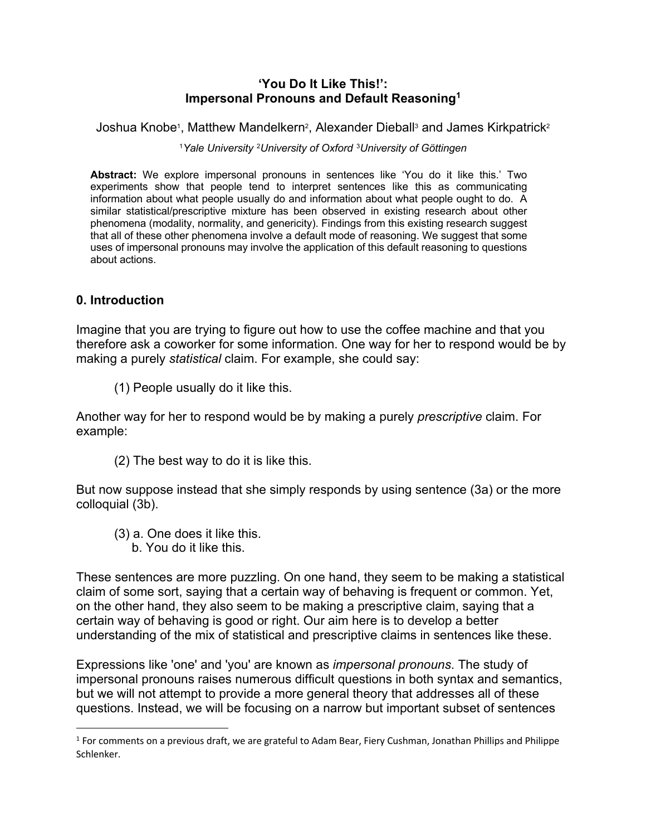## **'You Do It Like This!': Impersonal Pronouns and Default Reasoning1**

Joshua Knobe<sup>1</sup>, Matthew Mandelkern<sup>2</sup>, Alexander Dieball<sup>3</sup> and James Kirkpatrick<sup>2</sup>

<sup>1</sup>*Yale University* <sup>2</sup>*University of Oxford* <sup>3</sup>*University of Göttingen*

**Abstract:** We explore impersonal pronouns in sentences like 'You do it like this.' Two experiments show that people tend to interpret sentences like this as communicating information about what people usually do and information about what people ought to do. A similar statistical/prescriptive mixture has been observed in existing research about other phenomena (modality, normality, and genericity). Findings from this existing research suggest that all of these other phenomena involve a default mode of reasoning. We suggest that some uses of impersonal pronouns may involve the application of this default reasoning to questions about actions.

## **0. Introduction**

Imagine that you are trying to figure out how to use the coffee machine and that you therefore ask a coworker for some information. One way for her to respond would be by making a purely *statistical* claim. For example, she could say:

(1) People usually do it like this.

Another way for her to respond would be by making a purely *prescriptive* claim. For example:

(2) The best way to do it is like this.

But now suppose instead that she simply responds by using sentence (3a) or the more colloquial (3b).

- (3) a. One does it like this.
	- b. You do it like this.

These sentences are more puzzling. On one hand, they seem to be making a statistical claim of some sort, saying that a certain way of behaving is frequent or common. Yet, on the other hand, they also seem to be making a prescriptive claim, saying that a certain way of behaving is good or right. Our aim here is to develop a better understanding of the mix of statistical and prescriptive claims in sentences like these.

Expressions like 'one' and 'you' are known as *impersonal pronouns*. The study of impersonal pronouns raises numerous difficult questions in both syntax and semantics, but we will not attempt to provide a more general theory that addresses all of these questions. Instead, we will be focusing on a narrow but important subset of sentences

 $1$  For comments on a previous draft, we are grateful to Adam Bear, Fiery Cushman, Jonathan Phillips and Philippe Schlenker.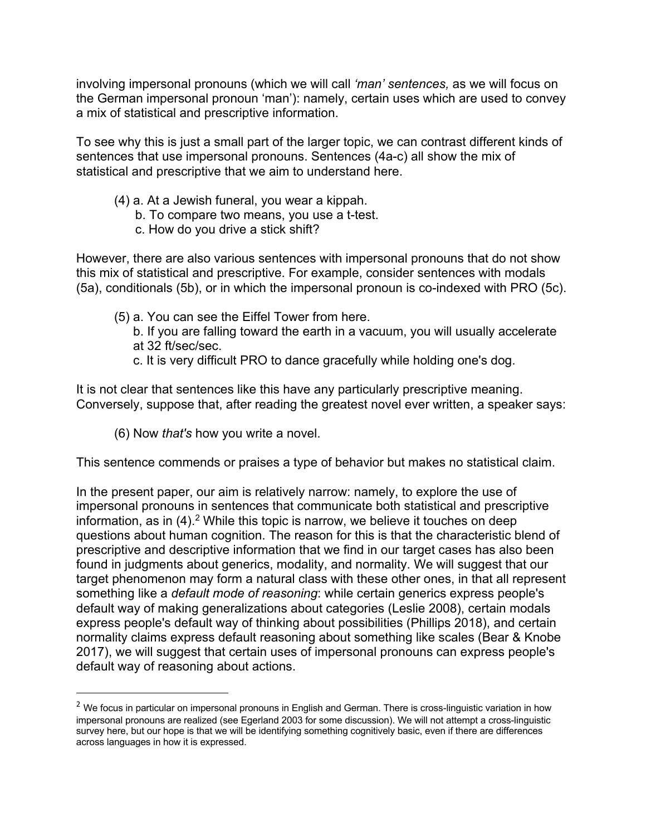involving impersonal pronouns (which we will call *'man' sentences,* as we will focus on the German impersonal pronoun 'man'): namely, certain uses which are used to convey a mix of statistical and prescriptive information.

To see why this is just a small part of the larger topic, we can contrast different kinds of sentences that use impersonal pronouns. Sentences (4a-c) all show the mix of statistical and prescriptive that we aim to understand here.

- (4) a. At a Jewish funeral, you wear a kippah.
	- b. To compare two means, you use a t-test.
	- c. How do you drive a stick shift?

However, there are also various sentences with impersonal pronouns that do not show this mix of statistical and prescriptive. For example, consider sentences with modals (5a), conditionals (5b), or in which the impersonal pronoun is co-indexed with PRO (5c).

- (5) a. You can see the Eiffel Tower from here.
	- b. If you are falling toward the earth in a vacuum, you will usually accelerate at 32 ft/sec/sec.
	- c. It is very difficult PRO to dance gracefully while holding one's dog.

It is not clear that sentences like this have any particularly prescriptive meaning. Conversely, suppose that, after reading the greatest novel ever written, a speaker says:

(6) Now *that's* how you write a novel.

This sentence commends or praises a type of behavior but makes no statistical claim.

In the present paper, our aim is relatively narrow: namely, to explore the use of impersonal pronouns in sentences that communicate both statistical and prescriptive information, as in (4).<sup>2</sup> While this topic is narrow, we believe it touches on deep questions about human cognition. The reason for this is that the characteristic blend of prescriptive and descriptive information that we find in our target cases has also been found in judgments about generics, modality, and normality. We will suggest that our target phenomenon may form a natural class with these other ones, in that all represent something like a *default mode of reasoning*: while certain generics express people's default way of making generalizations about categories (Leslie 2008), certain modals express people's default way of thinking about possibilities (Phillips 2018), and certain normality claims express default reasoning about something like scales (Bear & Knobe 2017), we will suggest that certain uses of impersonal pronouns can express people's default way of reasoning about actions.

 $2$  We focus in particular on impersonal pronouns in English and German. There is cross-linguistic variation in how impersonal pronouns are realized (see Egerland 2003 for some discussion). We will not attempt a cross-linguistic survey here, but our hope is that we will be identifying something cognitively basic, even if there are differences across languages in how it is expressed.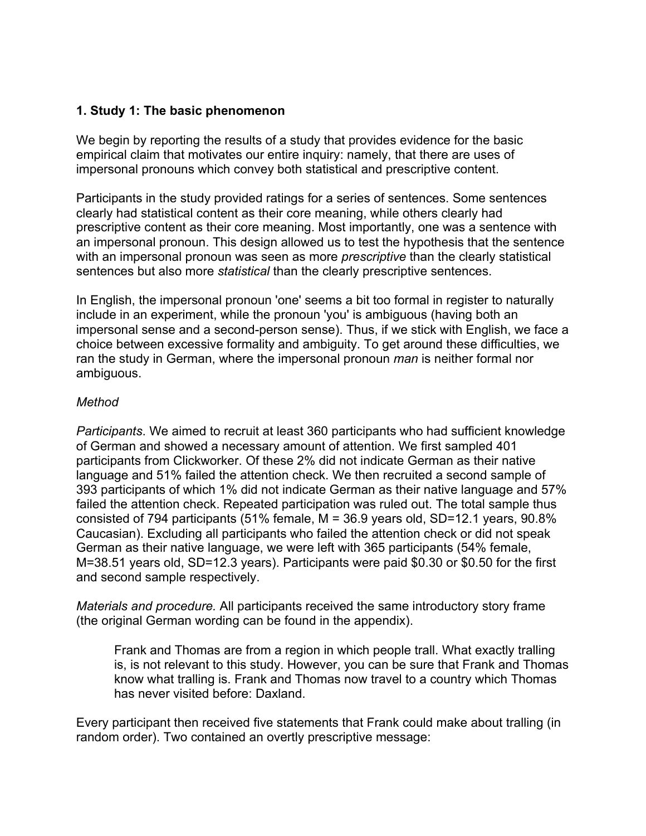## **1. Study 1: The basic phenomenon**

We begin by reporting the results of a study that provides evidence for the basic empirical claim that motivates our entire inquiry: namely, that there are uses of impersonal pronouns which convey both statistical and prescriptive content.

Participants in the study provided ratings for a series of sentences. Some sentences clearly had statistical content as their core meaning, while others clearly had prescriptive content as their core meaning. Most importantly, one was a sentence with an impersonal pronoun. This design allowed us to test the hypothesis that the sentence with an impersonal pronoun was seen as more *prescriptive* than the clearly statistical sentences but also more *statistical* than the clearly prescriptive sentences.

In English, the impersonal pronoun 'one' seems a bit too formal in register to naturally include in an experiment, while the pronoun 'you' is ambiguous (having both an impersonal sense and a second-person sense). Thus, if we stick with English, we face a choice between excessive formality and ambiguity. To get around these difficulties, we ran the study in German, where the impersonal pronoun *man* is neither formal nor ambiguous.

## *Method*

*Participants*. We aimed to recruit at least 360 participants who had sufficient knowledge of German and showed a necessary amount of attention. We first sampled 401 participants from Clickworker. Of these 2% did not indicate German as their native language and 51% failed the attention check. We then recruited a second sample of 393 participants of which 1% did not indicate German as their native language and 57% failed the attention check. Repeated participation was ruled out. The total sample thus consisted of 794 participants (51% female,  $M = 36.9$  years old, SD=12.1 years, 90.8% Caucasian). Excluding all participants who failed the attention check or did not speak German as their native language, we were left with 365 participants (54% female, M=38.51 years old, SD=12.3 years). Participants were paid \$0.30 or \$0.50 for the first and second sample respectively.

*Materials and procedure.* All participants received the same introductory story frame (the original German wording can be found in the appendix).

Frank and Thomas are from a region in which people trall. What exactly tralling is, is not relevant to this study. However, you can be sure that Frank and Thomas know what tralling is. Frank and Thomas now travel to a country which Thomas has never visited before: Daxland.

Every participant then received five statements that Frank could make about tralling (in random order). Two contained an overtly prescriptive message: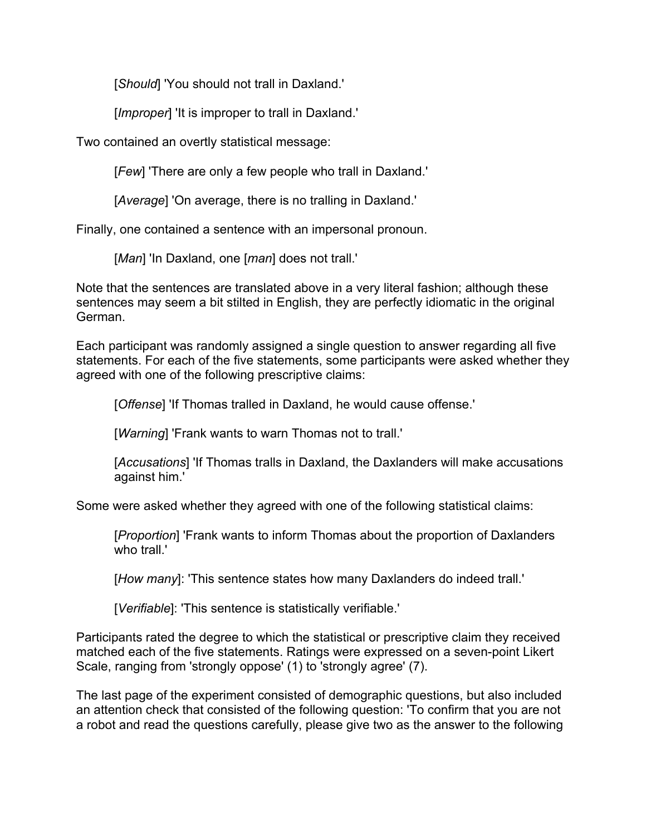[*Should*] 'You should not trall in Daxland.'

[*Improper*] 'It is improper to trall in Daxland.'

Two contained an overtly statistical message:

[*Few*] 'There are only a few people who trall in Daxland.'

[*Average*] 'On average, there is no tralling in Daxland.'

Finally, one contained a sentence with an impersonal pronoun.

[*Man*] 'In Daxland, one [*man*] does not trall.'

Note that the sentences are translated above in a very literal fashion; although these sentences may seem a bit stilted in English, they are perfectly idiomatic in the original German.

Each participant was randomly assigned a single question to answer regarding all five statements. For each of the five statements, some participants were asked whether they agreed with one of the following prescriptive claims:

[*Offense*] 'If Thomas tralled in Daxland, he would cause offense.'

[*Warning*] 'Frank wants to warn Thomas not to trall.'

[*Accusations*] 'If Thomas tralls in Daxland, the Daxlanders will make accusations against him.'

Some were asked whether they agreed with one of the following statistical claims:

[*Proportion*] 'Frank wants to inform Thomas about the proportion of Daxlanders who trall.'

[*How many*]: 'This sentence states how many Daxlanders do indeed trall.'

[*Verifiable*]: 'This sentence is statistically verifiable.'

Participants rated the degree to which the statistical or prescriptive claim they received matched each of the five statements. Ratings were expressed on a seven-point Likert Scale, ranging from 'strongly oppose' (1) to 'strongly agree' (7).

The last page of the experiment consisted of demographic questions, but also included an attention check that consisted of the following question: 'To confirm that you are not a robot and read the questions carefully, please give two as the answer to the following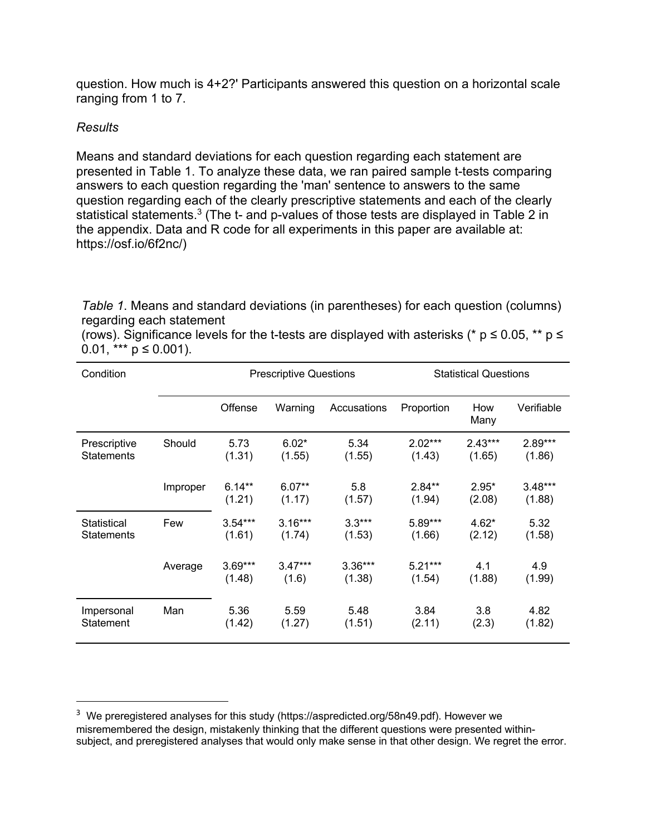question. How much is 4+2?' Participants answered this question on a horizontal scale ranging from 1 to 7.

## *Results*

Means and standard deviations for each question regarding each statement are presented in Table 1. To analyze these data, we ran paired sample t-tests comparing answers to each question regarding the 'man' sentence to answers to the same question regarding each of the clearly prescriptive statements and each of the clearly statistical statements.3 (The t- and p-values of those tests are displayed in Table 2 in the appendix. Data and R code for all experiments in this paper are available at: https://osf.io/6f2nc/)

*Table 1*. Means and standard deviations (in parentheses) for each question (columns) regarding each statement

(rows). Significance levels for the t-tests are displayed with asterisks (\*  $p \le 0.05$ , \*\*  $p \le$ 0.01, \*\*\*  $p \le 0.001$ ).

| Condition                         |          | <b>Prescriptive Questions</b> |                     |                     | <b>Statistical Questions</b> |                     |                     |
|-----------------------------------|----------|-------------------------------|---------------------|---------------------|------------------------------|---------------------|---------------------|
|                                   |          | Offense                       | Warning             | Accusations         | Proportion                   | How<br>Many         | Verifiable          |
| Prescriptive<br><b>Statements</b> | Should   | 5.73<br>(1.31)                | $6.02*$<br>(1.55)   | 5.34<br>(1.55)      | $2.02***$<br>(1.43)          | $2.43***$<br>(1.65) | $2.89***$<br>(1.86) |
|                                   | Improper | $6.14**$<br>(1.21)            | $6.07**$<br>(1.17)  | 5.8<br>(1.57)       | $2.84**$<br>(1.94)           | $2.95*$<br>(2.08)   | $3.48***$<br>(1.88) |
| Statistical<br><b>Statements</b>  | Few      | $3.54***$<br>(1.61)           | $3.16***$<br>(1.74) | $3.3***$<br>(1.53)  | 5.89***<br>(1.66)            | $4.62*$<br>(2.12)   | 5.32<br>(1.58)      |
|                                   | Average  | $3.69***$<br>(1.48)           | $3.47***$<br>(1.6)  | $3.36***$<br>(1.38) | $5.21***$<br>(1.54)          | 4.1<br>(1.88)       | 4.9<br>(1.99)       |
| Impersonal<br>Statement           | Man      | 5.36<br>(1.42)                | 5.59<br>(1.27)      | 5.48<br>(1.51)      | 3.84<br>(2.11)               | 3.8<br>(2.3)        | 4.82<br>(1.82)      |

<sup>&</sup>lt;sup>3</sup> We preregistered analyses for this study (https://aspredicted.org/58n49.pdf). However we misremembered the design, mistakenly thinking that the different questions were presented withinsubject, and preregistered analyses that would only make sense in that other design. We regret the error.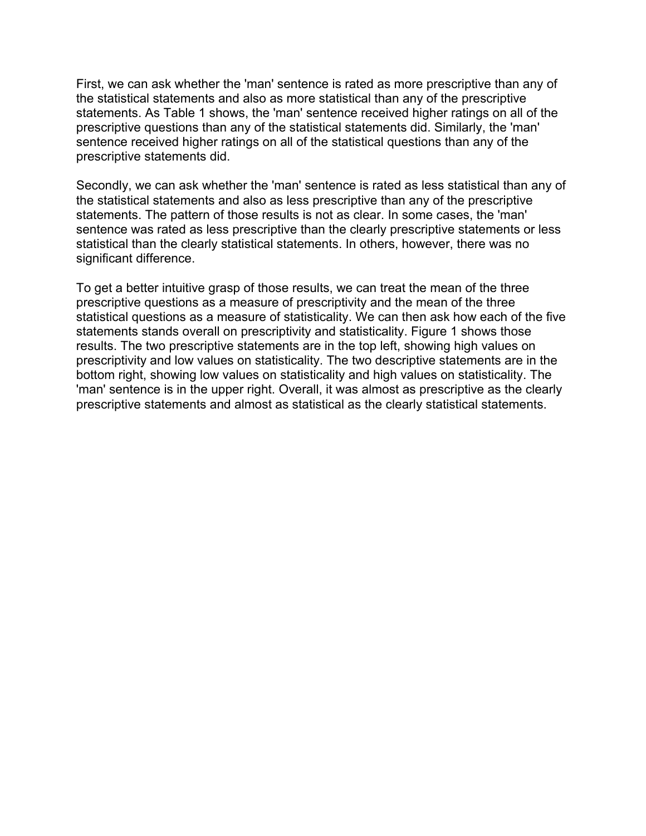First, we can ask whether the 'man' sentence is rated as more prescriptive than any of the statistical statements and also as more statistical than any of the prescriptive statements. As Table 1 shows, the 'man' sentence received higher ratings on all of the prescriptive questions than any of the statistical statements did. Similarly, the 'man' sentence received higher ratings on all of the statistical questions than any of the prescriptive statements did.

Secondly, we can ask whether the 'man' sentence is rated as less statistical than any of the statistical statements and also as less prescriptive than any of the prescriptive statements. The pattern of those results is not as clear. In some cases, the 'man' sentence was rated as less prescriptive than the clearly prescriptive statements or less statistical than the clearly statistical statements. In others, however, there was no significant difference.

To get a better intuitive grasp of those results, we can treat the mean of the three prescriptive questions as a measure of prescriptivity and the mean of the three statistical questions as a measure of statisticality. We can then ask how each of the five statements stands overall on prescriptivity and statisticality. Figure 1 shows those results. The two prescriptive statements are in the top left, showing high values on prescriptivity and low values on statisticality. The two descriptive statements are in the bottom right, showing low values on statisticality and high values on statisticality. The 'man' sentence is in the upper right. Overall, it was almost as prescriptive as the clearly prescriptive statements and almost as statistical as the clearly statistical statements.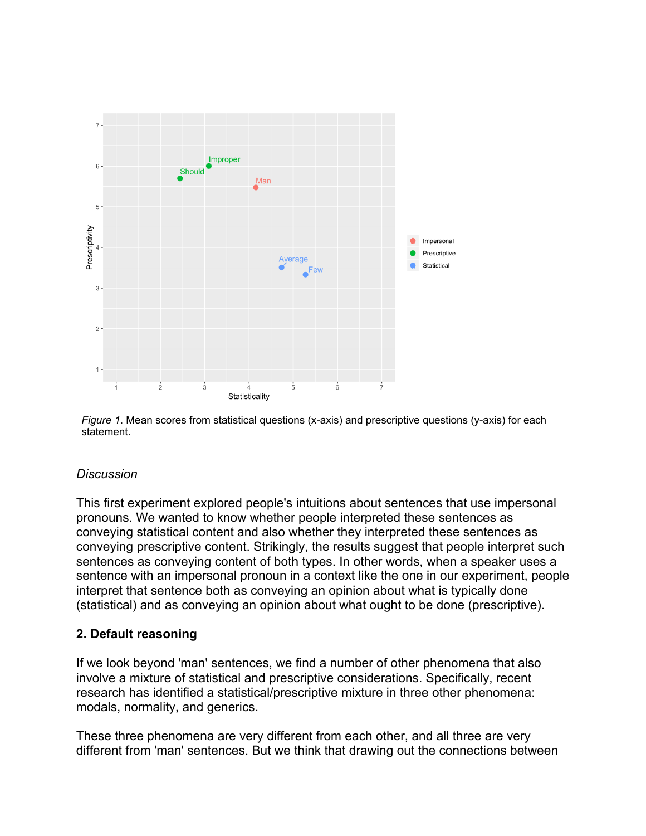

*Figure 1*. Mean scores from statistical questions (x-axis) and prescriptive questions (y-axis) for each statement.

## *Discussion*

This first experiment explored people's intuitions about sentences that use impersonal pronouns. We wanted to know whether people interpreted these sentences as conveying statistical content and also whether they interpreted these sentences as conveying prescriptive content. Strikingly, the results suggest that people interpret such sentences as conveying content of both types. In other words, when a speaker uses a sentence with an impersonal pronoun in a context like the one in our experiment, people interpret that sentence both as conveying an opinion about what is typically done (statistical) and as conveying an opinion about what ought to be done (prescriptive).

## **2. Default reasoning**

If we look beyond 'man' sentences, we find a number of other phenomena that also involve a mixture of statistical and prescriptive considerations. Specifically, recent research has identified a statistical/prescriptive mixture in three other phenomena: modals, normality, and generics.

These three phenomena are very different from each other, and all three are very different from 'man' sentences. But we think that drawing out the connections between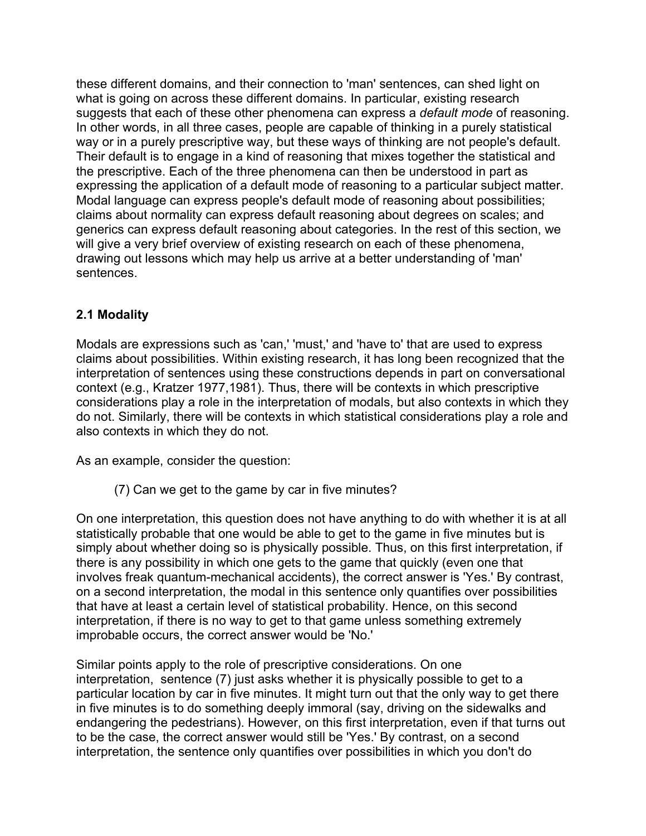these different domains, and their connection to 'man' sentences, can shed light on what is going on across these different domains. In particular, existing research suggests that each of these other phenomena can express a *default mode* of reasoning. In other words, in all three cases, people are capable of thinking in a purely statistical way or in a purely prescriptive way, but these ways of thinking are not people's default. Their default is to engage in a kind of reasoning that mixes together the statistical and the prescriptive. Each of the three phenomena can then be understood in part as expressing the application of a default mode of reasoning to a particular subject matter. Modal language can express people's default mode of reasoning about possibilities; claims about normality can express default reasoning about degrees on scales; and generics can express default reasoning about categories. In the rest of this section, we will give a very brief overview of existing research on each of these phenomena, drawing out lessons which may help us arrive at a better understanding of 'man' sentences.

# **2.1 Modality**

Modals are expressions such as 'can,' 'must,' and 'have to' that are used to express claims about possibilities. Within existing research, it has long been recognized that the interpretation of sentences using these constructions depends in part on conversational context (e.g., Kratzer 1977,1981). Thus, there will be contexts in which prescriptive considerations play a role in the interpretation of modals, but also contexts in which they do not. Similarly, there will be contexts in which statistical considerations play a role and also contexts in which they do not.

As an example, consider the question:

(7) Can we get to the game by car in five minutes?

On one interpretation, this question does not have anything to do with whether it is at all statistically probable that one would be able to get to the game in five minutes but is simply about whether doing so is physically possible. Thus, on this first interpretation, if there is any possibility in which one gets to the game that quickly (even one that involves freak quantum-mechanical accidents), the correct answer is 'Yes.' By contrast, on a second interpretation, the modal in this sentence only quantifies over possibilities that have at least a certain level of statistical probability. Hence, on this second interpretation, if there is no way to get to that game unless something extremely improbable occurs, the correct answer would be 'No.'

Similar points apply to the role of prescriptive considerations. On one interpretation, sentence (7) just asks whether it is physically possible to get to a particular location by car in five minutes. It might turn out that the only way to get there in five minutes is to do something deeply immoral (say, driving on the sidewalks and endangering the pedestrians). However, on this first interpretation, even if that turns out to be the case, the correct answer would still be 'Yes.' By contrast, on a second interpretation, the sentence only quantifies over possibilities in which you don't do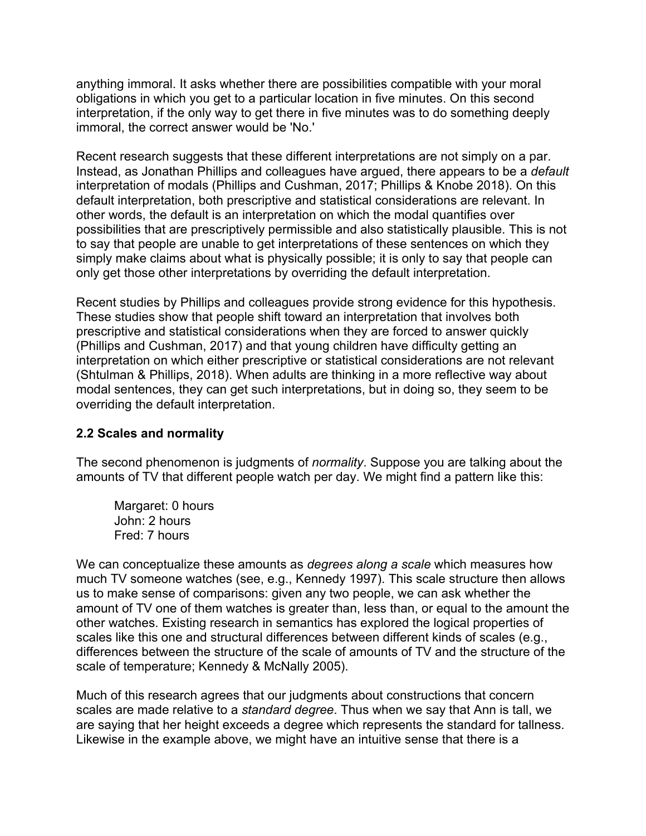anything immoral. It asks whether there are possibilities compatible with your moral obligations in which you get to a particular location in five minutes. On this second interpretation, if the only way to get there in five minutes was to do something deeply immoral, the correct answer would be 'No.'

Recent research suggests that these different interpretations are not simply on a par. Instead, as Jonathan Phillips and colleagues have argued, there appears to be a *default* interpretation of modals (Phillips and Cushman, 2017; Phillips & Knobe 2018). On this default interpretation, both prescriptive and statistical considerations are relevant. In other words, the default is an interpretation on which the modal quantifies over possibilities that are prescriptively permissible and also statistically plausible. This is not to say that people are unable to get interpretations of these sentences on which they simply make claims about what is physically possible; it is only to say that people can only get those other interpretations by overriding the default interpretation.

Recent studies by Phillips and colleagues provide strong evidence for this hypothesis. These studies show that people shift toward an interpretation that involves both prescriptive and statistical considerations when they are forced to answer quickly (Phillips and Cushman, 2017) and that young children have difficulty getting an interpretation on which either prescriptive or statistical considerations are not relevant (Shtulman & Phillips, 2018). When adults are thinking in a more reflective way about modal sentences, they can get such interpretations, but in doing so, they seem to be overriding the default interpretation.

## **2.2 Scales and normality**

The second phenomenon is judgments of *normality*. Suppose you are talking about the amounts of TV that different people watch per day. We might find a pattern like this:

Margaret: 0 hours John: 2 hours Fred: 7 hours

We can conceptualize these amounts as *degrees along a scale* which measures how much TV someone watches (see, e.g., Kennedy 1997). This scale structure then allows us to make sense of comparisons: given any two people, we can ask whether the amount of TV one of them watches is greater than, less than, or equal to the amount the other watches. Existing research in semantics has explored the logical properties of scales like this one and structural differences between different kinds of scales (e.g., differences between the structure of the scale of amounts of TV and the structure of the scale of temperature; Kennedy & McNally 2005).

Much of this research agrees that our judgments about constructions that concern scales are made relative to a *standard degree*. Thus when we say that Ann is tall, we are saying that her height exceeds a degree which represents the standard for tallness. Likewise in the example above, we might have an intuitive sense that there is a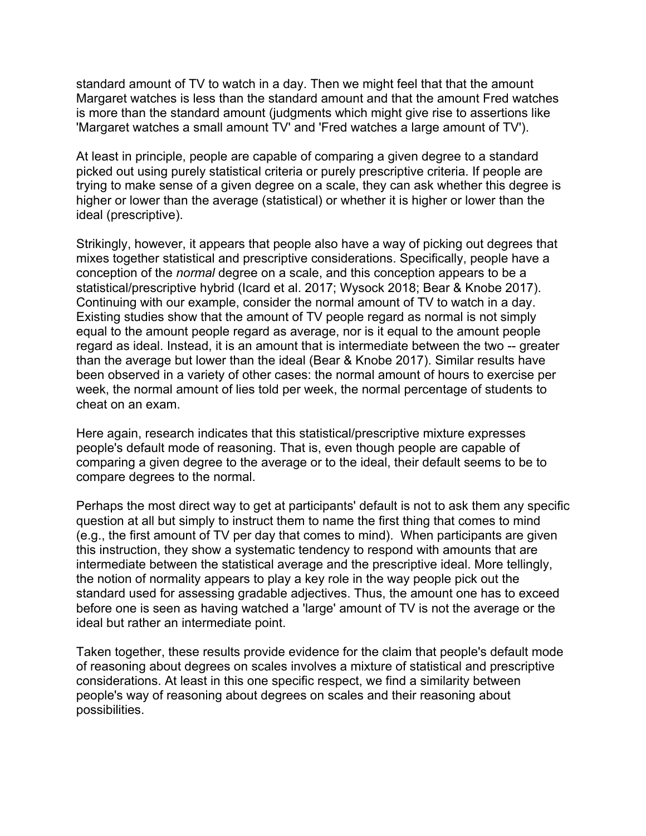standard amount of TV to watch in a day. Then we might feel that that the amount Margaret watches is less than the standard amount and that the amount Fred watches is more than the standard amount (judgments which might give rise to assertions like 'Margaret watches a small amount TV' and 'Fred watches a large amount of TV').

At least in principle, people are capable of comparing a given degree to a standard picked out using purely statistical criteria or purely prescriptive criteria. If people are trying to make sense of a given degree on a scale, they can ask whether this degree is higher or lower than the average (statistical) or whether it is higher or lower than the ideal (prescriptive).

Strikingly, however, it appears that people also have a way of picking out degrees that mixes together statistical and prescriptive considerations. Specifically, people have a conception of the *normal* degree on a scale, and this conception appears to be a statistical/prescriptive hybrid (Icard et al. 2017; Wysock 2018; Bear & Knobe 2017). Continuing with our example, consider the normal amount of TV to watch in a day. Existing studies show that the amount of TV people regard as normal is not simply equal to the amount people regard as average, nor is it equal to the amount people regard as ideal. Instead, it is an amount that is intermediate between the two -- greater than the average but lower than the ideal (Bear & Knobe 2017). Similar results have been observed in a variety of other cases: the normal amount of hours to exercise per week, the normal amount of lies told per week, the normal percentage of students to cheat on an exam.

Here again, research indicates that this statistical/prescriptive mixture expresses people's default mode of reasoning. That is, even though people are capable of comparing a given degree to the average or to the ideal, their default seems to be to compare degrees to the normal.

Perhaps the most direct way to get at participants' default is not to ask them any specific question at all but simply to instruct them to name the first thing that comes to mind (e.g., the first amount of TV per day that comes to mind). When participants are given this instruction, they show a systematic tendency to respond with amounts that are intermediate between the statistical average and the prescriptive ideal. More tellingly, the notion of normality appears to play a key role in the way people pick out the standard used for assessing gradable adjectives. Thus, the amount one has to exceed before one is seen as having watched a 'large' amount of TV is not the average or the ideal but rather an intermediate point.

Taken together, these results provide evidence for the claim that people's default mode of reasoning about degrees on scales involves a mixture of statistical and prescriptive considerations. At least in this one specific respect, we find a similarity between people's way of reasoning about degrees on scales and their reasoning about possibilities.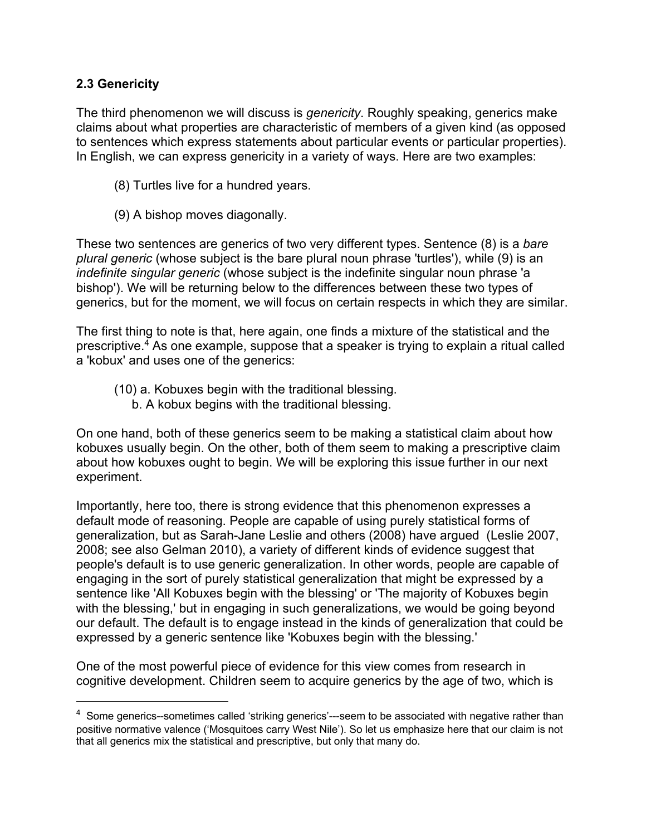## **2.3 Genericity**

The third phenomenon we will discuss is *genericity*. Roughly speaking, generics make claims about what properties are characteristic of members of a given kind (as opposed to sentences which express statements about particular events or particular properties). In English, we can express genericity in a variety of ways. Here are two examples:

- (8) Turtles live for a hundred years.
- (9) A bishop moves diagonally.

These two sentences are generics of two very different types. Sentence (8) is a *bare plural generic* (whose subject is the bare plural noun phrase 'turtles'), while (9) is an *indefinite singular generic* (whose subject is the indefinite singular noun phrase 'a bishop'). We will be returning below to the differences between these two types of generics, but for the moment, we will focus on certain respects in which they are similar.

The first thing to note is that, here again, one finds a mixture of the statistical and the prescriptive.4 As one example, suppose that a speaker is trying to explain a ritual called a 'kobux' and uses one of the generics:

- (10) a. Kobuxes begin with the traditional blessing.
	- b. A kobux begins with the traditional blessing.

On one hand, both of these generics seem to be making a statistical claim about how kobuxes usually begin. On the other, both of them seem to making a prescriptive claim about how kobuxes ought to begin. We will be exploring this issue further in our next experiment.

Importantly, here too, there is strong evidence that this phenomenon expresses a default mode of reasoning. People are capable of using purely statistical forms of generalization, but as Sarah-Jane Leslie and others (2008) have argued (Leslie 2007, 2008; see also Gelman 2010), a variety of different kinds of evidence suggest that people's default is to use generic generalization. In other words, people are capable of engaging in the sort of purely statistical generalization that might be expressed by a sentence like 'All Kobuxes begin with the blessing' or 'The majority of Kobuxes begin with the blessing,' but in engaging in such generalizations, we would be going beyond our default. The default is to engage instead in the kinds of generalization that could be expressed by a generic sentence like 'Kobuxes begin with the blessing.'

One of the most powerful piece of evidence for this view comes from research in cognitive development. Children seem to acquire generics by the age of two, which is

<sup>&</sup>lt;sup>4</sup> Some generics--sometimes called 'striking generics'---seem to be associated with negative rather than positive normative valence ('Mosquitoes carry West Nile'). So let us emphasize here that our claim is not that all generics mix the statistical and prescriptive, but only that many do.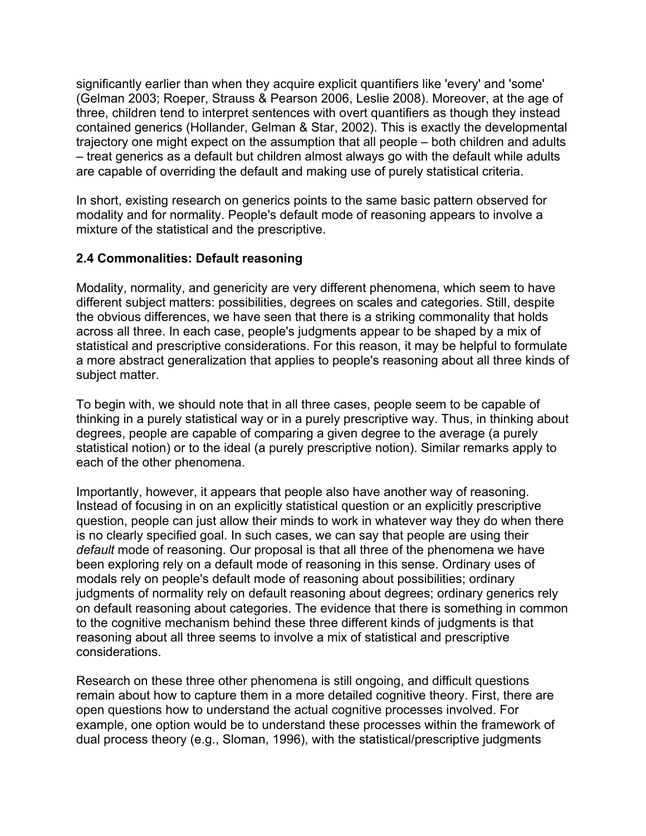significantly earlier than when they acquire explicit quantifiers like 'every' and 'some' (Gelman 2003; Roeper, Strauss & Pearson 2006, Leslie 2008). Moreover, at the age of three, children tend to interpret sentences with overt quantifiers as though they instead contained generics (Hollander, Gelman & Star, 2002). This is exactly the developmental trajectory one might expect on the assumption that all people – both children and adults – treat generics as a default but children almost always go with the default while adults are capable of overriding the default and making use of purely statistical criteria.

In short, existing research on generics points to the same basic pattern observed for modality and for normality. People's default mode of reasoning appears to involve a mixture of the statistical and the prescriptive.

## **2.4 Commonalities: Default reasoning**

Modality, normality, and genericity are very different phenomena, which seem to have different subject matters: possibilities, degrees on scales and categories. Still, despite the obvious differences, we have seen that there is a striking commonality that holds across all three. In each case, people's judgments appear to be shaped by a mix of statistical and prescriptive considerations. For this reason, it may be helpful to formulate a more abstract generalization that applies to people's reasoning about all three kinds of subject matter.

To begin with, we should note that in all three cases, people seem to be capable of thinking in a purely statistical way or in a purely prescriptive way. Thus, in thinking about degrees, people are capable of comparing a given degree to the average (a purely statistical notion) or to the ideal (a purely prescriptive notion). Similar remarks apply to each of the other phenomena.

Importantly, however, it appears that people also have another way of reasoning. Instead of focusing in on an explicitly statistical question or an explicitly prescriptive question, people can just allow their minds to work in whatever way they do when there is no clearly specified goal. In such cases, we can say that people are using their *default* mode of reasoning. Our proposal is that all three of the phenomena we have been exploring rely on a default mode of reasoning in this sense. Ordinary uses of modals rely on people's default mode of reasoning about possibilities; ordinary judgments of normality rely on default reasoning about degrees; ordinary generics rely on default reasoning about categories. The evidence that there is something in common to the cognitive mechanism behind these three different kinds of judgments is that reasoning about all three seems to involve a mix of statistical and prescriptive considerations.

Research on these three other phenomena is still ongoing, and difficult questions remain about how to capture them in a more detailed cognitive theory. First, there are open questions how to understand the actual cognitive processes involved. For example, one option would be to understand these processes within the framework of dual process theory (e.g., Sloman, 1996), with the statistical/prescriptive judgments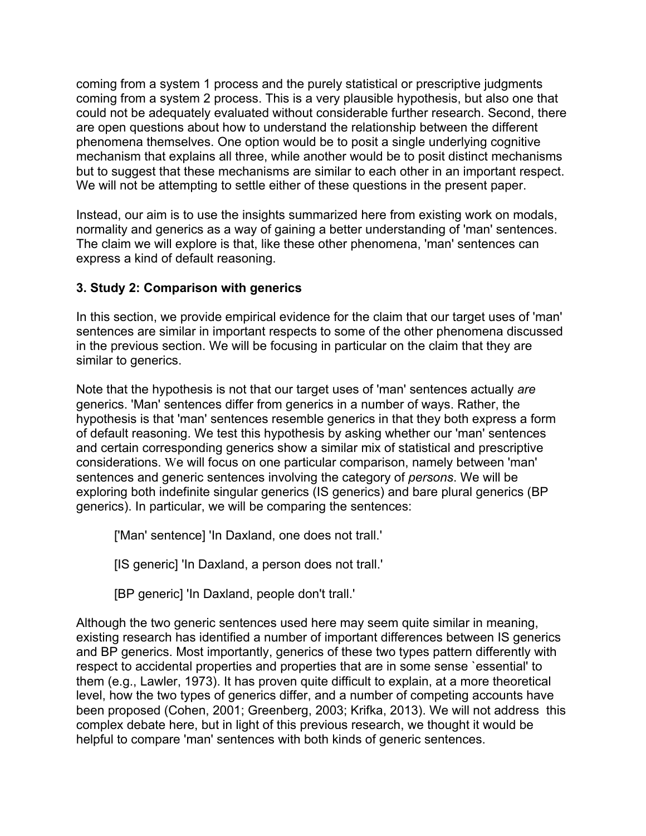coming from a system 1 process and the purely statistical or prescriptive judgments coming from a system 2 process. This is a very plausible hypothesis, but also one that could not be adequately evaluated without considerable further research. Second, there are open questions about how to understand the relationship between the different phenomena themselves. One option would be to posit a single underlying cognitive mechanism that explains all three, while another would be to posit distinct mechanisms but to suggest that these mechanisms are similar to each other in an important respect. We will not be attempting to settle either of these questions in the present paper.

Instead, our aim is to use the insights summarized here from existing work on modals, normality and generics as a way of gaining a better understanding of 'man' sentences. The claim we will explore is that, like these other phenomena, 'man' sentences can express a kind of default reasoning.

# **3. Study 2: Comparison with generics**

In this section, we provide empirical evidence for the claim that our target uses of 'man' sentences are similar in important respects to some of the other phenomena discussed in the previous section. We will be focusing in particular on the claim that they are similar to generics.

Note that the hypothesis is not that our target uses of 'man' sentences actually *are* generics. 'Man' sentences differ from generics in a number of ways. Rather, the hypothesis is that 'man' sentences resemble generics in that they both express a form of default reasoning. We test this hypothesis by asking whether our 'man' sentences and certain corresponding generics show a similar mix of statistical and prescriptive considerations. We will focus on one particular comparison, namely between 'man' sentences and generic sentences involving the category of *persons*. We will be exploring both indefinite singular generics (IS generics) and bare plural generics (BP generics). In particular, we will be comparing the sentences:

['Man' sentence] 'In Daxland, one does not trall.'

[IS generic] 'In Daxland, a person does not trall.'

[BP generic] 'In Daxland, people don't trall.'

Although the two generic sentences used here may seem quite similar in meaning, existing research has identified a number of important differences between IS generics and BP generics. Most importantly, generics of these two types pattern differently with respect to accidental properties and properties that are in some sense `essential' to them (e.g., Lawler, 1973). It has proven quite difficult to explain, at a more theoretical level, how the two types of generics differ, and a number of competing accounts have been proposed (Cohen, 2001; Greenberg, 2003; Krifka, 2013). We will not address this complex debate here, but in light of this previous research, we thought it would be helpful to compare 'man' sentences with both kinds of generic sentences.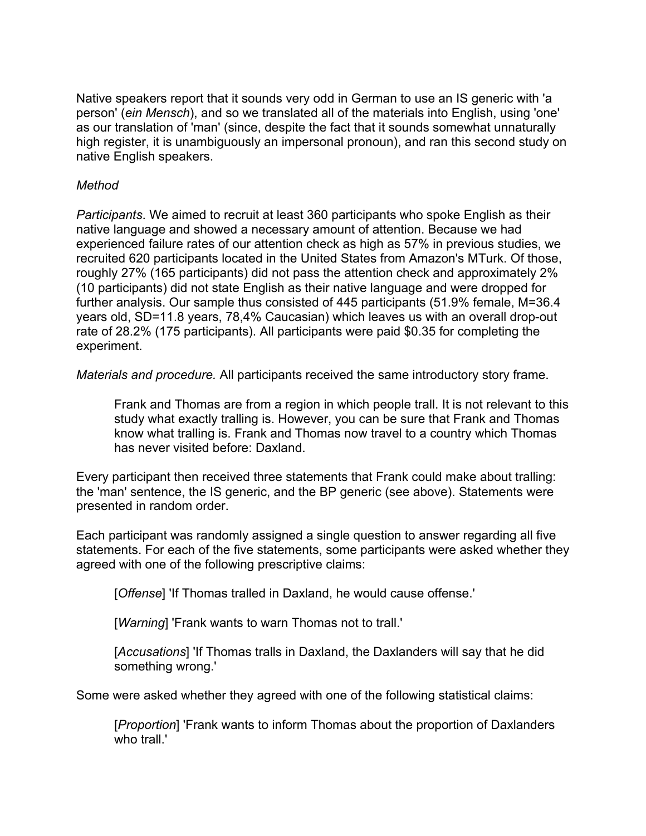Native speakers report that it sounds very odd in German to use an IS generic with 'a person' (*ein Mensch*), and so we translated all of the materials into English, using 'one' as our translation of 'man' (since, despite the fact that it sounds somewhat unnaturally high register, it is unambiguously an impersonal pronoun), and ran this second study on native English speakers.

#### *Method*

*Participants*. We aimed to recruit at least 360 participants who spoke English as their native language and showed a necessary amount of attention. Because we had experienced failure rates of our attention check as high as 57% in previous studies, we recruited 620 participants located in the United States from Amazon's MTurk. Of those, roughly 27% (165 participants) did not pass the attention check and approximately 2% (10 participants) did not state English as their native language and were dropped for further analysis. Our sample thus consisted of 445 participants (51.9% female, M=36.4 years old, SD=11.8 years, 78,4% Caucasian) which leaves us with an overall drop-out rate of 28.2% (175 participants). All participants were paid \$0.35 for completing the experiment.

*Materials and procedure.* All participants received the same introductory story frame.

Frank and Thomas are from a region in which people trall. It is not relevant to this study what exactly tralling is. However, you can be sure that Frank and Thomas know what tralling is. Frank and Thomas now travel to a country which Thomas has never visited before: Daxland.

Every participant then received three statements that Frank could make about tralling: the 'man' sentence, the IS generic, and the BP generic (see above). Statements were presented in random order.

Each participant was randomly assigned a single question to answer regarding all five statements. For each of the five statements, some participants were asked whether they agreed with one of the following prescriptive claims:

[*Offense*] 'If Thomas tralled in Daxland, he would cause offense.'

[*Warning*] 'Frank wants to warn Thomas not to trall.'

[*Accusations*] 'If Thomas tralls in Daxland, the Daxlanders will say that he did something wrong.'

Some were asked whether they agreed with one of the following statistical claims:

[*Proportion*] 'Frank wants to inform Thomas about the proportion of Daxlanders who trall.'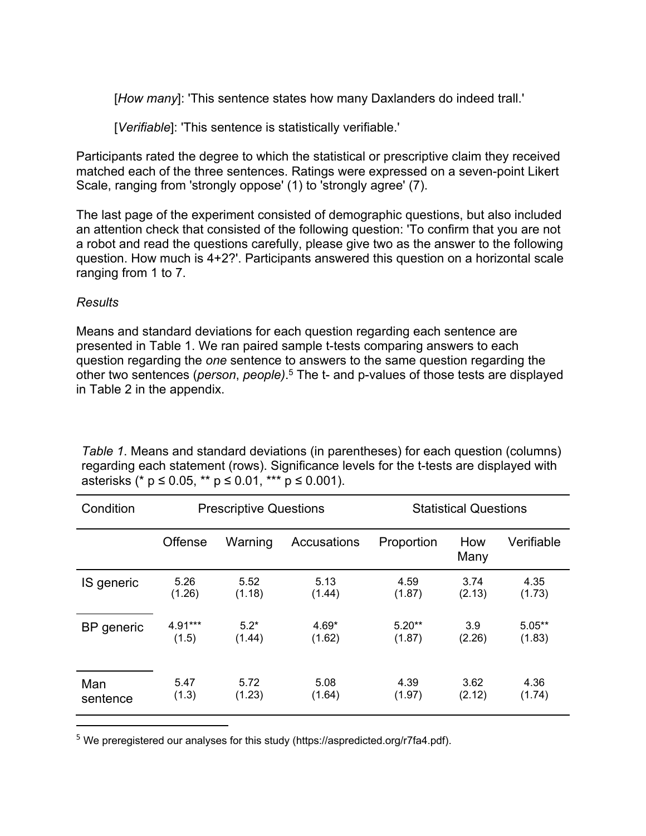[*How many*]: 'This sentence states how many Daxlanders do indeed trall.'

[*Verifiable*]: 'This sentence is statistically verifiable.'

Participants rated the degree to which the statistical or prescriptive claim they received matched each of the three sentences. Ratings were expressed on a seven-point Likert Scale, ranging from 'strongly oppose' (1) to 'strongly agree' (7).

The last page of the experiment consisted of demographic questions, but also included an attention check that consisted of the following question: 'To confirm that you are not a robot and read the questions carefully, please give two as the answer to the following question. How much is 4+2?'. Participants answered this question on a horizontal scale ranging from 1 to 7.

## *Results*

Means and standard deviations for each question regarding each sentence are presented in Table 1. We ran paired sample t-tests comparing answers to each question regarding the *one* sentence to answers to the same question regarding the other two sentences (*person*, *people)*. <sup>5</sup> The t- and p-values of those tests are displayed in Table 2 in the appendix.

| Condition  | <b>Prescriptive Questions</b> |         |             | <b>Statistical Questions</b> |             |            |
|------------|-------------------------------|---------|-------------|------------------------------|-------------|------------|
|            | Offense                       | Warning | Accusations | Proportion                   | How<br>Many | Verifiable |
| IS generic | 5.26                          | 5.52    | 5.13        | 4.59                         | 3.74        | 4.35       |
|            | (1.26)                        | (1.18)  | (1.44)      | (1.87)                       | (2.13)      | (1.73)     |
| BP generic | 4.91***                       | $5.2*$  | $4.69*$     | $5.20**$                     | 3.9         | $5.05***$  |
|            | (1.5)                         | (1.44)  | (1.62)      | (1.87)                       | (2.26)      | (1.83)     |
| Man        | 5.47                          | 5.72    | 5.08        | 4.39                         | 3.62        | 4.36       |
| sentence   | (1.3)                         | (1.23)  | (1.64)      | (1.97)                       | (2.12)      | (1.74)     |

*Table 1*. Means and standard deviations (in parentheses) for each question (columns) regarding each statement (rows). Significance levels for the t-tests are displayed with asterisks (\* p ≤ 0.05, \*\* p ≤ 0.01, \*\*\* p ≤ 0.001).

<sup>5</sup> We preregistered our analyses for this study (https://aspredicted.org/r7fa4.pdf).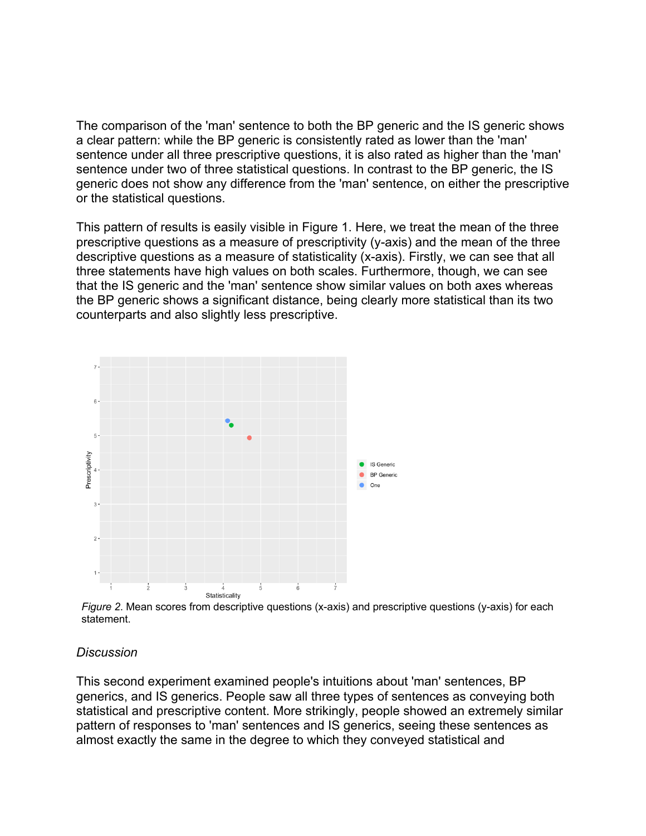The comparison of the 'man' sentence to both the BP generic and the IS generic shows a clear pattern: while the BP generic is consistently rated as lower than the 'man' sentence under all three prescriptive questions, it is also rated as higher than the 'man' sentence under two of three statistical questions. In contrast to the BP generic, the IS generic does not show any difference from the 'man' sentence, on either the prescriptive or the statistical questions.

This pattern of results is easily visible in Figure 1. Here, we treat the mean of the three prescriptive questions as a measure of prescriptivity (y-axis) and the mean of the three descriptive questions as a measure of statisticality (x-axis). Firstly, we can see that all three statements have high values on both scales. Furthermore, though, we can see that the IS generic and the 'man' sentence show similar values on both axes whereas the BP generic shows a significant distance, being clearly more statistical than its two counterparts and also slightly less prescriptive.



*Figure 2*. Mean scores from descriptive questions (x-axis) and prescriptive questions (y-axis) for each statement.

#### *Discussion*

This second experiment examined people's intuitions about 'man' sentences, BP generics, and IS generics. People saw all three types of sentences as conveying both statistical and prescriptive content. More strikingly, people showed an extremely similar pattern of responses to 'man' sentences and IS generics, seeing these sentences as almost exactly the same in the degree to which they conveyed statistical and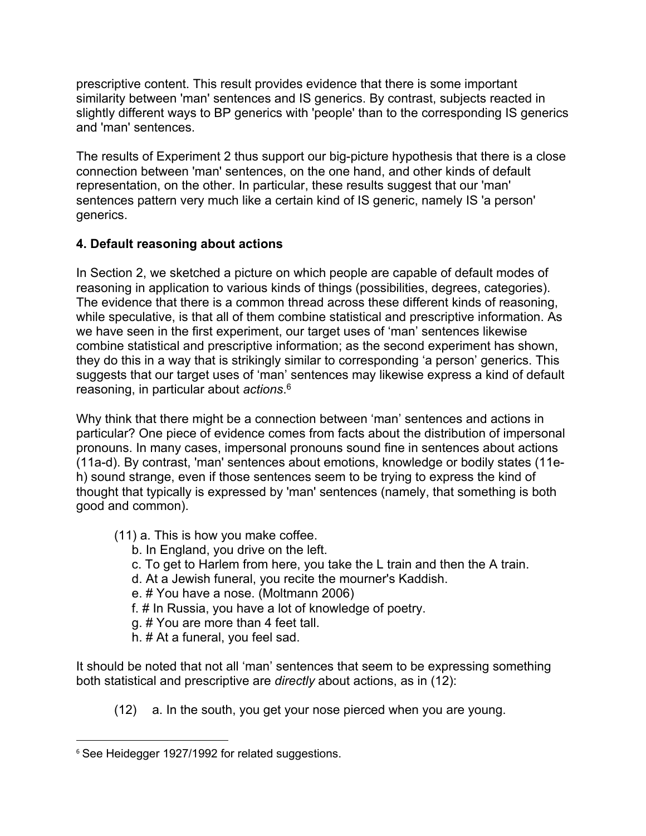prescriptive content. This result provides evidence that there is some important similarity between 'man' sentences and IS generics. By contrast, subjects reacted in slightly different ways to BP generics with 'people' than to the corresponding IS generics and 'man' sentences.

The results of Experiment 2 thus support our big-picture hypothesis that there is a close connection between 'man' sentences, on the one hand, and other kinds of default representation, on the other. In particular, these results suggest that our 'man' sentences pattern very much like a certain kind of IS generic, namely IS 'a person' generics.

# **4. Default reasoning about actions**

In Section 2, we sketched a picture on which people are capable of default modes of reasoning in application to various kinds of things (possibilities, degrees, categories). The evidence that there is a common thread across these different kinds of reasoning, while speculative, is that all of them combine statistical and prescriptive information. As we have seen in the first experiment, our target uses of 'man' sentences likewise combine statistical and prescriptive information; as the second experiment has shown, they do this in a way that is strikingly similar to corresponding 'a person' generics. This suggests that our target uses of 'man' sentences may likewise express a kind of default reasoning, in particular about *actions*. 6

Why think that there might be a connection between 'man' sentences and actions in particular? One piece of evidence comes from facts about the distribution of impersonal pronouns. In many cases, impersonal pronouns sound fine in sentences about actions (11a-d). By contrast, 'man' sentences about emotions, knowledge or bodily states (11eh) sound strange, even if those sentences seem to be trying to express the kind of thought that typically is expressed by 'man' sentences (namely, that something is both good and common).

- (11) a. This is how you make coffee.
	- b. In England, you drive on the left.
	- c. To get to Harlem from here, you take the L train and then the A train.
	- d. At a Jewish funeral, you recite the mourner's Kaddish.
	- e. # You have a nose. (Moltmann 2006)
	- f. # In Russia, you have a lot of knowledge of poetry.
	- g. # You are more than 4 feet tall.
	- h. # At a funeral, you feel sad.

It should be noted that not all 'man' sentences that seem to be expressing something both statistical and prescriptive are *directly* about actions, as in (12):

(12) a. In the south, you get your nose pierced when you are young.

<sup>&</sup>lt;sup>6</sup> See Heidegger 1927/1992 for related suggestions.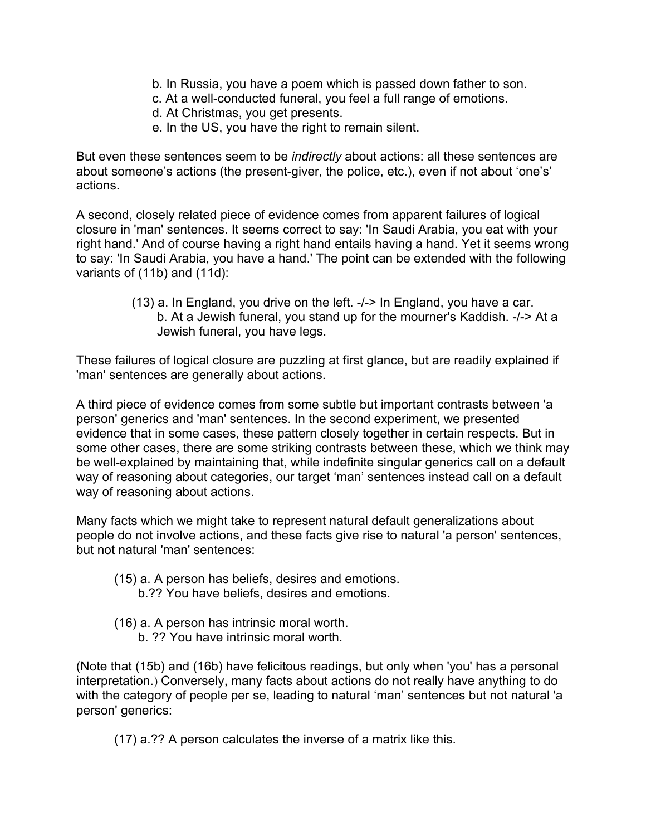- b. In Russia, you have a poem which is passed down father to son.
- c. At a well-conducted funeral, you feel a full range of emotions.
- d. At Christmas, you get presents.
- e. In the US, you have the right to remain silent.

But even these sentences seem to be *indirectly* about actions: all these sentences are about someone's actions (the present-giver, the police, etc.), even if not about 'one's' actions.

A second, closely related piece of evidence comes from apparent failures of logical closure in 'man' sentences. It seems correct to say: 'In Saudi Arabia, you eat with your right hand.' And of course having a right hand entails having a hand. Yet it seems wrong to say: 'In Saudi Arabia, you have a hand.' The point can be extended with the following variants of (11b) and (11d):

> (13) a. In England, you drive on the left. -/-> In England, you have a car. b. At a Jewish funeral, you stand up for the mourner's Kaddish. -/-> At a Jewish funeral, you have legs.

These failures of logical closure are puzzling at first glance, but are readily explained if 'man' sentences are generally about actions.

A third piece of evidence comes from some subtle but important contrasts between 'a person' generics and 'man' sentences. In the second experiment, we presented evidence that in some cases, these pattern closely together in certain respects. But in some other cases, there are some striking contrasts between these, which we think may be well-explained by maintaining that, while indefinite singular generics call on a default way of reasoning about categories, our target 'man' sentences instead call on a default way of reasoning about actions.

Many facts which we might take to represent natural default generalizations about people do not involve actions, and these facts give rise to natural 'a person' sentences, but not natural 'man' sentences:

- (15) a. A person has beliefs, desires and emotions.
	- b.?? You have beliefs, desires and emotions.
- (16) a. A person has intrinsic moral worth.
	- b. ?? You have intrinsic moral worth.

(Note that (15b) and (16b) have felicitous readings, but only when 'you' has a personal interpretation.) Conversely, many facts about actions do not really have anything to do with the category of people per se, leading to natural 'man' sentences but not natural 'a person' generics:

(17) a.?? A person calculates the inverse of a matrix like this.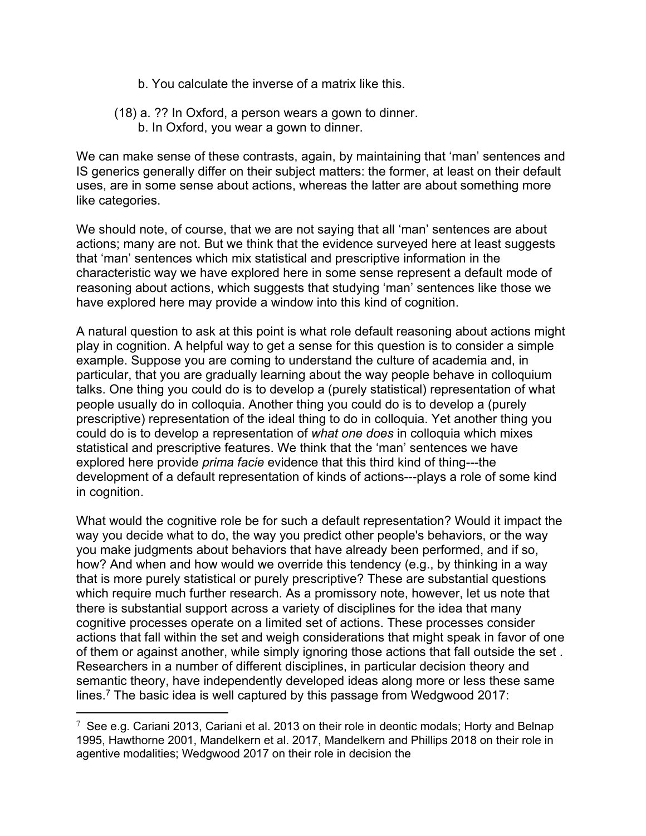- b. You calculate the inverse of a matrix like this.
- (18) a. ?? In Oxford, a person wears a gown to dinner. b. In Oxford, you wear a gown to dinner.

We can make sense of these contrasts, again, by maintaining that 'man' sentences and IS generics generally differ on their subject matters: the former, at least on their default uses, are in some sense about actions, whereas the latter are about something more like categories.

We should note, of course, that we are not saying that all 'man' sentences are about actions; many are not. But we think that the evidence surveyed here at least suggests that 'man' sentences which mix statistical and prescriptive information in the characteristic way we have explored here in some sense represent a default mode of reasoning about actions, which suggests that studying 'man' sentences like those we have explored here may provide a window into this kind of cognition.

A natural question to ask at this point is what role default reasoning about actions might play in cognition. A helpful way to get a sense for this question is to consider a simple example. Suppose you are coming to understand the culture of academia and, in particular, that you are gradually learning about the way people behave in colloquium talks. One thing you could do is to develop a (purely statistical) representation of what people usually do in colloquia. Another thing you could do is to develop a (purely prescriptive) representation of the ideal thing to do in colloquia. Yet another thing you could do is to develop a representation of *what one does* in colloquia which mixes statistical and prescriptive features. We think that the 'man' sentences we have explored here provide *prima facie* evidence that this third kind of thing---the development of a default representation of kinds of actions---plays a role of some kind in cognition.

What would the cognitive role be for such a default representation? Would it impact the way you decide what to do, the way you predict other people's behaviors, or the way you make judgments about behaviors that have already been performed, and if so, how? And when and how would we override this tendency (e.g., by thinking in a way that is more purely statistical or purely prescriptive? These are substantial questions which require much further research. As a promissory note, however, let us note that there is substantial support across a variety of disciplines for the idea that many cognitive processes operate on a limited set of actions. These processes consider actions that fall within the set and weigh considerations that might speak in favor of one of them or against another, while simply ignoring those actions that fall outside the set . Researchers in a number of different disciplines, in particular decision theory and semantic theory, have independently developed ideas along more or less these same lines.<sup>7</sup> The basic idea is well captured by this passage from Wedgwood 2017:

 $\overline{a}$ 

<sup>&</sup>lt;sup>7</sup> See e.g. Cariani 2013, Cariani et al. 2013 on their role in deontic modals; Horty and Belnap 1995, Hawthorne 2001, Mandelkern et al. 2017, Mandelkern and Phillips 2018 on their role in agentive modalities; Wedgwood 2017 on their role in decision the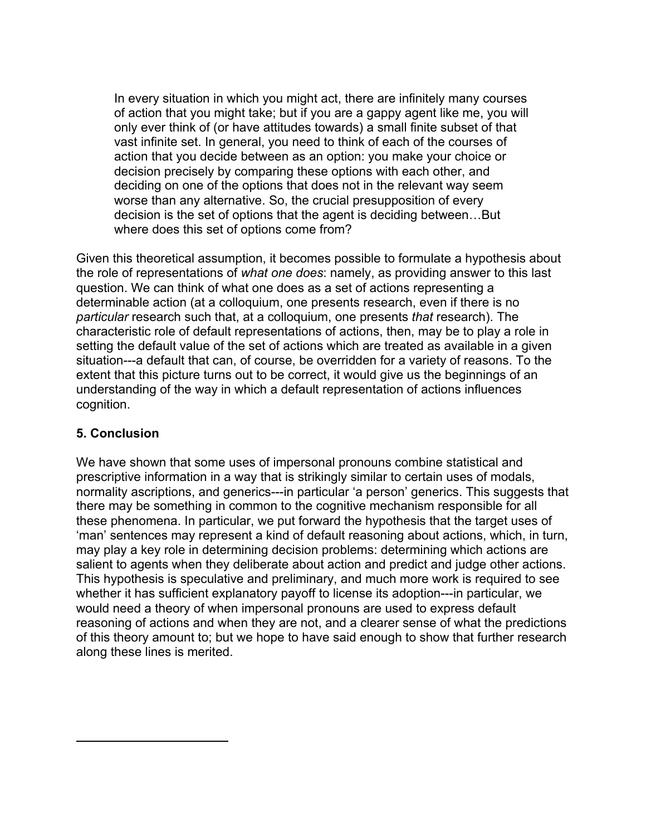In every situation in which you might act, there are infinitely many courses of action that you might take; but if you are a gappy agent like me, you will only ever think of (or have attitudes towards) a small finite subset of that vast infinite set. In general, you need to think of each of the courses of action that you decide between as an option: you make your choice or decision precisely by comparing these options with each other, and deciding on one of the options that does not in the relevant way seem worse than any alternative. So, the crucial presupposition of every decision is the set of options that the agent is deciding between…But where does this set of options come from?

Given this theoretical assumption, it becomes possible to formulate a hypothesis about the role of representations of *what one does*: namely, as providing answer to this last question. We can think of what one does as a set of actions representing a determinable action (at a colloquium, one presents research, even if there is no *particular* research such that, at a colloquium, one presents *that* research). The characteristic role of default representations of actions, then, may be to play a role in setting the default value of the set of actions which are treated as available in a given situation---a default that can, of course, be overridden for a variety of reasons. To the extent that this picture turns out to be correct, it would give us the beginnings of an understanding of the way in which a default representation of actions influences cognition.

## **5. Conclusion**

 $\overline{a}$ 

We have shown that some uses of impersonal pronouns combine statistical and prescriptive information in a way that is strikingly similar to certain uses of modals, normality ascriptions, and generics---in particular 'a person' generics. This suggests that there may be something in common to the cognitive mechanism responsible for all these phenomena. In particular, we put forward the hypothesis that the target uses of 'man' sentences may represent a kind of default reasoning about actions, which, in turn, may play a key role in determining decision problems: determining which actions are salient to agents when they deliberate about action and predict and judge other actions. This hypothesis is speculative and preliminary, and much more work is required to see whether it has sufficient explanatory payoff to license its adoption---in particular, we would need a theory of when impersonal pronouns are used to express default reasoning of actions and when they are not, and a clearer sense of what the predictions of this theory amount to; but we hope to have said enough to show that further research along these lines is merited.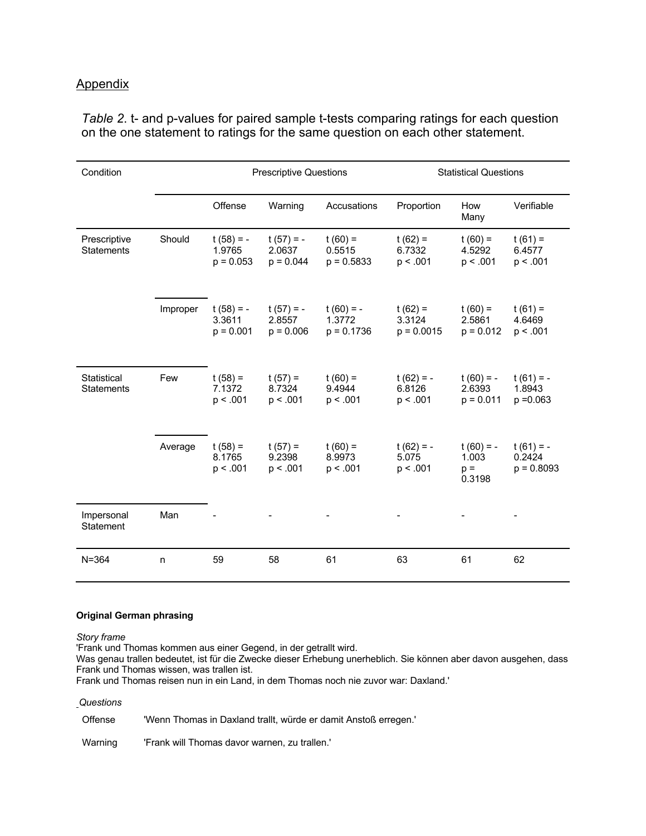#### Appendix

| Condition                         |          | <b>Prescriptive Questions</b>        |                                      | <b>Statistical Questions</b>          |                                     |                                         |                                       |
|-----------------------------------|----------|--------------------------------------|--------------------------------------|---------------------------------------|-------------------------------------|-----------------------------------------|---------------------------------------|
|                                   |          | Offense                              | Warning                              | Accusations                           | Proportion                          | How<br>Many                             | Verifiable                            |
| Prescriptive<br><b>Statements</b> | Should   | $t(58) = -$<br>1.9765<br>$p = 0.053$ | $t(57) = -$<br>2.0637<br>$p = 0.044$ | $t(60) =$<br>0.5515<br>$p = 0.5833$   | $t(62) =$<br>6.7332<br>p < .001     | $t(60) =$<br>4.5292<br>p < .001         | $t(61) =$<br>6.4577<br>p < .001       |
|                                   | Improper | $t(58) = -$<br>3.3611<br>$p = 0.001$ | $t(57) = -$<br>2.8557<br>$p = 0.006$ | $t(60) = -$<br>1.3772<br>$p = 0.1736$ | $t(62) =$<br>3.3124<br>$p = 0.0015$ | $t(60) =$<br>2.5861<br>$p = 0.012$      | $t(61) =$<br>4.6469<br>p < .001       |
| Statistical<br><b>Statements</b>  | Few      | $t(58) =$<br>7.1372<br>p < .001      | $t(57) =$<br>8.7324<br>p < .001      | $t(60) =$<br>9.4944<br>p < .001       | $t(62) = -$<br>6.8126<br>p < .001   | $t(60) = -$<br>2.6393<br>$p = 0.011$    | $t(61) = -$<br>1.8943<br>$p = 0.063$  |
|                                   | Average  | $t(58) =$<br>8.1765<br>p < .001      | $t(57) =$<br>9.2398<br>p < .001      | $t(60) =$<br>8.9973<br>p < .001       | $t(62) = -$<br>5.075<br>p < .001    | $t(60) = -$<br>1.003<br>$p =$<br>0.3198 | $t(61) = -$<br>0.2424<br>$p = 0.8093$ |
| Impersonal<br>Statement           | Man      |                                      |                                      |                                       |                                     |                                         |                                       |
| $N = 364$                         | n        | 59                                   | 58                                   | 61                                    | 63                                  | 61                                      | 62                                    |

*Table 2*. t- and p-values for paired sample t-tests comparing ratings for each question on the one statement to ratings for the same question on each other statement.

#### **Original German phrasing**

*Story frame*

'Frank und Thomas kommen aus einer Gegend, in der getrallt wird.

Was genau trallen bedeutet, ist für die Zwecke dieser Erhebung unerheblich. Sie können aber davon ausgehen, dass Frank und Thomas wissen, was trallen ist.

Frank und Thomas reisen nun in ein Land, in dem Thomas noch nie zuvor war: Daxland.'

#### *Questions*

Offense 'Wenn Thomas in Daxland trallt, würde er damit Anstoß erregen.'

Warning 'Frank will Thomas davor warnen, zu trallen.'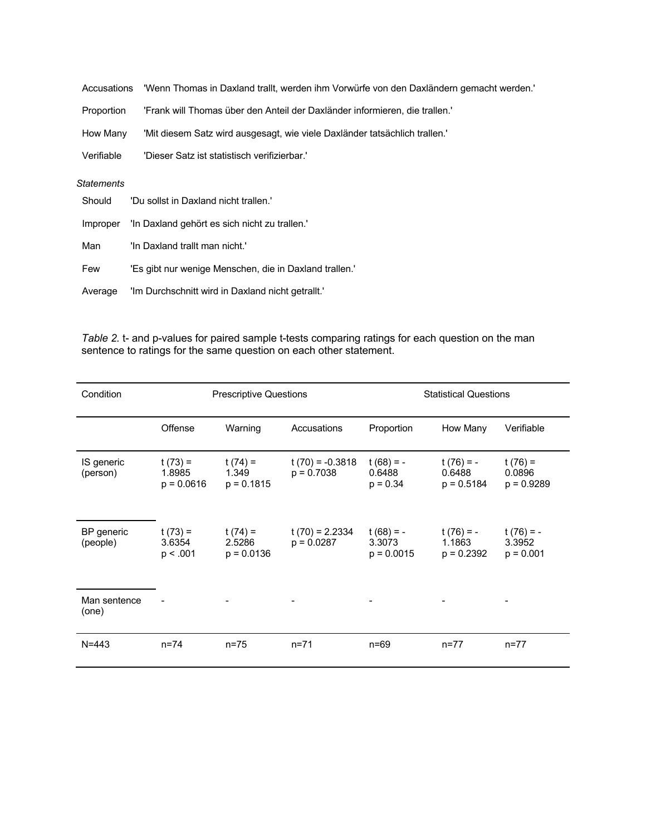| Accusations       | 'Wenn Thomas in Daxland trallt, werden ihm Vorwürfe von den Daxländern gemacht werden. |
|-------------------|----------------------------------------------------------------------------------------|
| Proportion        | 'Frank will Thomas über den Anteil der Daxländer informieren, die trallen.'            |
| How Many          | 'Mit diesem Satz wird ausgesagt, wie viele Daxländer tatsächlich trallen.'             |
| Verifiable        | 'Dieser Satz ist statistisch verifizierbar.'                                           |
| <b>Statements</b> |                                                                                        |
| Should            | 'Du sollst in Daxland nicht trallen.'                                                  |
| Imnroner          | "In Daxland gehört es sich nicht zu trallen "                                          |

| $P^{\prime}$ | $\ldots$ Bartania gonori oo olon mont Ea trailonn |
|--------------|---------------------------------------------------|
| Man          | "In Daxland trallt man nicht."                    |

Few 'Es gibt nur wenige Menschen, die in Daxland trallen.'

Average 'Im Durchschnitt wird in Daxland nicht getrallt.'

*Table 2.* t- and p-values for paired sample t-tests comparing ratings for each question on the man sentence to ratings for the same question on each other statement.

| Condition              | <b>Prescriptive Questions</b>       |                                      |                                   | <b>Statistical Questions</b>          |                                       |                                      |  |
|------------------------|-------------------------------------|--------------------------------------|-----------------------------------|---------------------------------------|---------------------------------------|--------------------------------------|--|
|                        | Offense                             | Warning                              | Accusations                       | Proportion                            | How Many                              | Verifiable                           |  |
| IS generic<br>(person) | $t(73) =$<br>1.8985<br>$p = 0.0616$ | $t(74) =$<br>1.349<br>$p = 0.1815$   | $t(70) = -0.3818$<br>$p = 0.7038$ | $t(68) = -$<br>0.6488<br>$p = 0.34$   | $t(76) = -$<br>0.6488<br>$p = 0.5184$ | $t(76) =$<br>0.0896<br>$p = 0.9289$  |  |
| BP generic<br>(people) | $t(73) =$<br>3.6354<br>p < .001     | t $(74) =$<br>2.5286<br>$p = 0.0136$ | $t(70) = 2.2334$<br>$p = 0.0287$  | $t(68) = -$<br>3.3073<br>$p = 0.0015$ | $t(76) = -$<br>1.1863<br>$p = 0.2392$ | $t(76) = -$<br>3.3952<br>$p = 0.001$ |  |
| Man sentence<br>(one)  |                                     |                                      |                                   |                                       |                                       |                                      |  |
| $N = 443$              | $n = 74$                            | $n = 75$                             | $n = 71$                          | $n = 69$                              | $n = 77$                              | $n = 77$                             |  |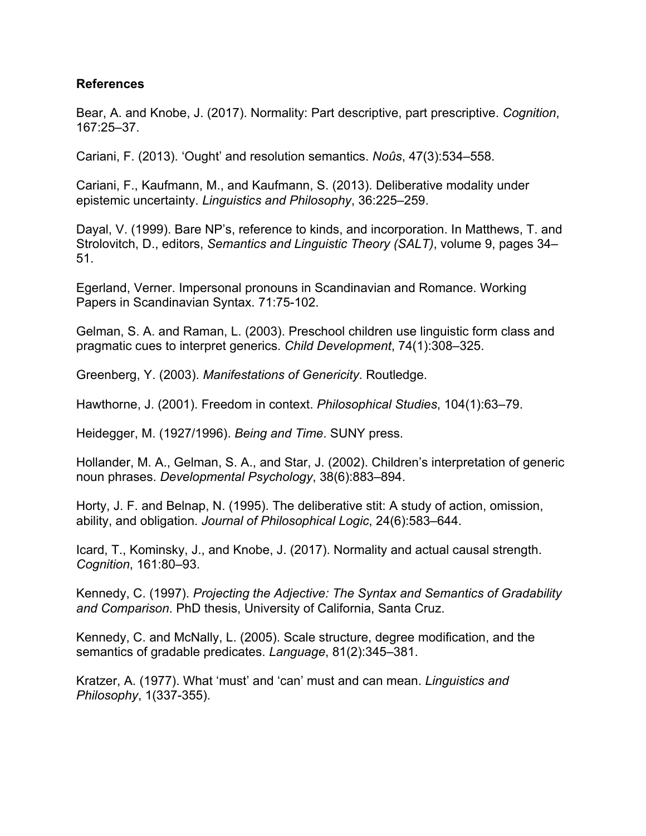## **References**

Bear, A. and Knobe, J. (2017). Normality: Part descriptive, part prescriptive. *Cognition*, 167:25–37.

Cariani, F. (2013). 'Ought' and resolution semantics. *Noûs*, 47(3):534–558.

Cariani, F., Kaufmann, M., and Kaufmann, S. (2013). Deliberative modality under epistemic uncertainty. *Linguistics and Philosophy*, 36:225–259.

Dayal, V. (1999). Bare NP's, reference to kinds, and incorporation. In Matthews, T. and Strolovitch, D., editors, *Semantics and Linguistic Theory (SALT)*, volume 9, pages 34– 51.

Egerland, Verner. Impersonal pronouns in Scandinavian and Romance. Working Papers in Scandinavian Syntax. 71:75-102.

Gelman, S. A. and Raman, L. (2003). Preschool children use linguistic form class and pragmatic cues to interpret generics. *Child Development*, 74(1):308–325.

Greenberg, Y. (2003). *Manifestations of Genericity*. Routledge.

Hawthorne, J. (2001). Freedom in context. *Philosophical Studies*, 104(1):63–79.

Heidegger, M. (1927/1996). *Being and Time*. SUNY press.

Hollander, M. A., Gelman, S. A., and Star, J. (2002). Children's interpretation of generic noun phrases. *Developmental Psychology*, 38(6):883–894.

Horty, J. F. and Belnap, N. (1995). The deliberative stit: A study of action, omission, ability, and obligation. *Journal of Philosophical Logic*, 24(6):583–644.

Icard, T., Kominsky, J., and Knobe, J. (2017). Normality and actual causal strength. *Cognition*, 161:80–93.

Kennedy, C. (1997). *Projecting the Adjective: The Syntax and Semantics of Gradability and Comparison*. PhD thesis, University of California, Santa Cruz.

Kennedy, C. and McNally, L. (2005). Scale structure, degree modification, and the semantics of gradable predicates. *Language*, 81(2):345–381.

Kratzer, A. (1977). What 'must' and 'can' must and can mean. *Linguistics and Philosophy*, 1(337-355).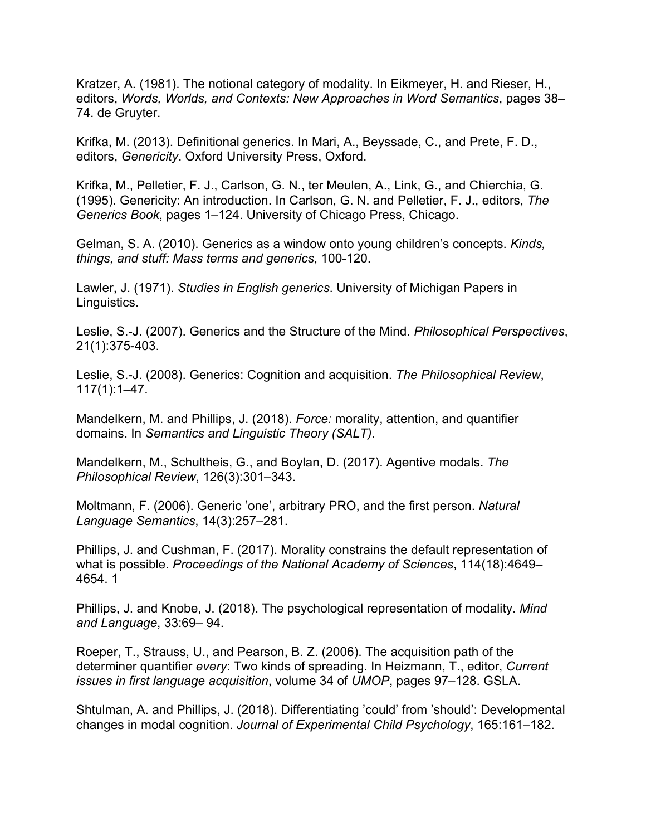Kratzer, A. (1981). The notional category of modality. In Eikmeyer, H. and Rieser, H., editors, *Words, Worlds, and Contexts: New Approaches in Word Semantics*, pages 38– 74. de Gruyter.

Krifka, M. (2013). Definitional generics. In Mari, A., Beyssade, C., and Prete, F. D., editors, *Genericity*. Oxford University Press, Oxford.

Krifka, M., Pelletier, F. J., Carlson, G. N., ter Meulen, A., Link, G., and Chierchia, G. (1995). Genericity: An introduction. In Carlson, G. N. and Pelletier, F. J., editors, *The Generics Book*, pages 1–124. University of Chicago Press, Chicago.

Gelman, S. A. (2010). Generics as a window onto young children's concepts. *Kinds, things, and stuff: Mass terms and generics*, 100-120.

Lawler, J. (1971). *Studies in English generics*. University of Michigan Papers in Linguistics.

Leslie, S.-J. (2007). Generics and the Structure of the Mind. *Philosophical Perspectives*, 21(1):375-403.

Leslie, S.-J. (2008). Generics: Cognition and acquisition. *The Philosophical Review*, 117(1):1–47.

Mandelkern, M. and Phillips, J. (2018). *Force:* morality, attention, and quantifier domains. In *Semantics and Linguistic Theory (SALT)*.

Mandelkern, M., Schultheis, G., and Boylan, D. (2017). Agentive modals. *The Philosophical Review*, 126(3):301–343.

Moltmann, F. (2006). Generic 'one', arbitrary PRO, and the first person. *Natural Language Semantics*, 14(3):257–281.

Phillips, J. and Cushman, F. (2017). Morality constrains the default representation of what is possible. *Proceedings of the National Academy of Sciences*, 114(18):4649– 4654. 1

Phillips, J. and Knobe, J. (2018). The psychological representation of modality. *Mind and Language*, 33:69– 94.

Roeper, T., Strauss, U., and Pearson, B. Z. (2006). The acquisition path of the determiner quantifier *every*: Two kinds of spreading. In Heizmann, T., editor, *Current issues in first language acquisition*, volume 34 of *UMOP*, pages 97–128. GSLA.

Shtulman, A. and Phillips, J. (2018). Differentiating 'could' from 'should': Developmental changes in modal cognition. *Journal of Experimental Child Psychology*, 165:161–182.